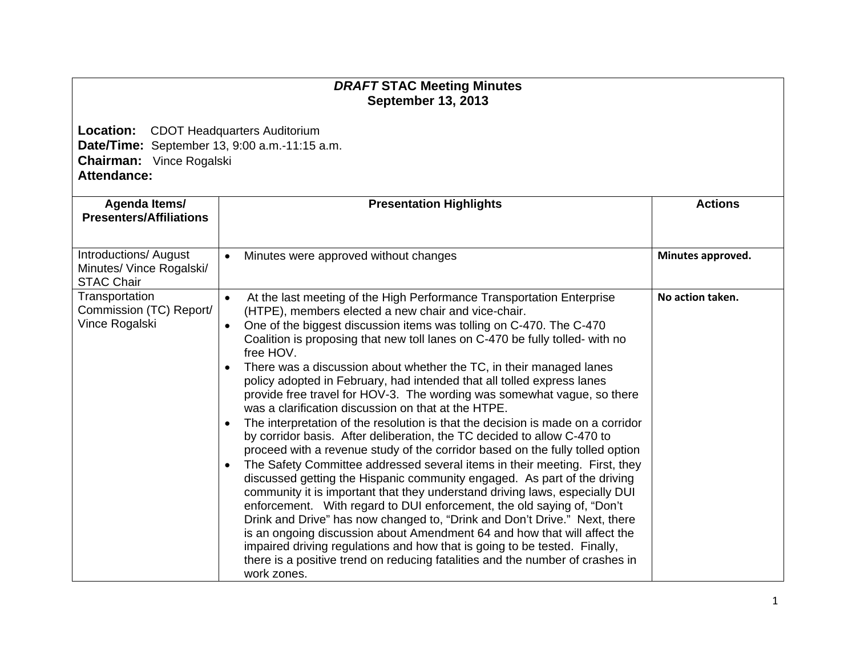## *DRAFT* **STAC Meeting Minutes September 13, 2013**

**Location:** CDOT Headquarters Auditorium **Date/Time:** September 13, 9:00 a.m.-11:15 a.m. **Chairman:** Vince Rogalski **Attendance:** 

| Agenda Items/                                                          | <b>Presentation Highlights</b>                                                                                                                                                                                                                                                                                                                                                                                                                                                                                                                                                                                                                                                                                                                                                                                                                                                                                                                                                                                                                                                                                                                                                                                                                                                                                                                                                  | <b>Actions</b>    |
|------------------------------------------------------------------------|---------------------------------------------------------------------------------------------------------------------------------------------------------------------------------------------------------------------------------------------------------------------------------------------------------------------------------------------------------------------------------------------------------------------------------------------------------------------------------------------------------------------------------------------------------------------------------------------------------------------------------------------------------------------------------------------------------------------------------------------------------------------------------------------------------------------------------------------------------------------------------------------------------------------------------------------------------------------------------------------------------------------------------------------------------------------------------------------------------------------------------------------------------------------------------------------------------------------------------------------------------------------------------------------------------------------------------------------------------------------------------|-------------------|
| <b>Presenters/Affiliations</b>                                         |                                                                                                                                                                                                                                                                                                                                                                                                                                                                                                                                                                                                                                                                                                                                                                                                                                                                                                                                                                                                                                                                                                                                                                                                                                                                                                                                                                                 |                   |
| Introductions/ August<br>Minutes/ Vince Rogalski/<br><b>STAC Chair</b> | Minutes were approved without changes<br>$\bullet$                                                                                                                                                                                                                                                                                                                                                                                                                                                                                                                                                                                                                                                                                                                                                                                                                                                                                                                                                                                                                                                                                                                                                                                                                                                                                                                              | Minutes approved. |
| Transportation<br>Commission (TC) Report/<br>Vince Rogalski            | At the last meeting of the High Performance Transportation Enterprise<br>$\bullet$<br>(HTPE), members elected a new chair and vice-chair.<br>One of the biggest discussion items was tolling on C-470. The C-470<br>$\bullet$<br>Coalition is proposing that new toll lanes on C-470 be fully tolled- with no<br>free HOV.<br>There was a discussion about whether the TC, in their managed lanes<br>$\bullet$<br>policy adopted in February, had intended that all tolled express lanes<br>provide free travel for HOV-3. The wording was somewhat vague, so there<br>was a clarification discussion on that at the HTPE.<br>The interpretation of the resolution is that the decision is made on a corridor<br>$\bullet$<br>by corridor basis. After deliberation, the TC decided to allow C-470 to<br>proceed with a revenue study of the corridor based on the fully tolled option<br>The Safety Committee addressed several items in their meeting. First, they<br>$\bullet$<br>discussed getting the Hispanic community engaged. As part of the driving<br>community it is important that they understand driving laws, especially DUI<br>enforcement. With regard to DUI enforcement, the old saying of, "Don't<br>Drink and Drive" has now changed to, "Drink and Don't Drive." Next, there<br>is an ongoing discussion about Amendment 64 and how that will affect the | No action taken.  |
|                                                                        | impaired driving regulations and how that is going to be tested. Finally,<br>there is a positive trend on reducing fatalities and the number of crashes in<br>work zones.                                                                                                                                                                                                                                                                                                                                                                                                                                                                                                                                                                                                                                                                                                                                                                                                                                                                                                                                                                                                                                                                                                                                                                                                       |                   |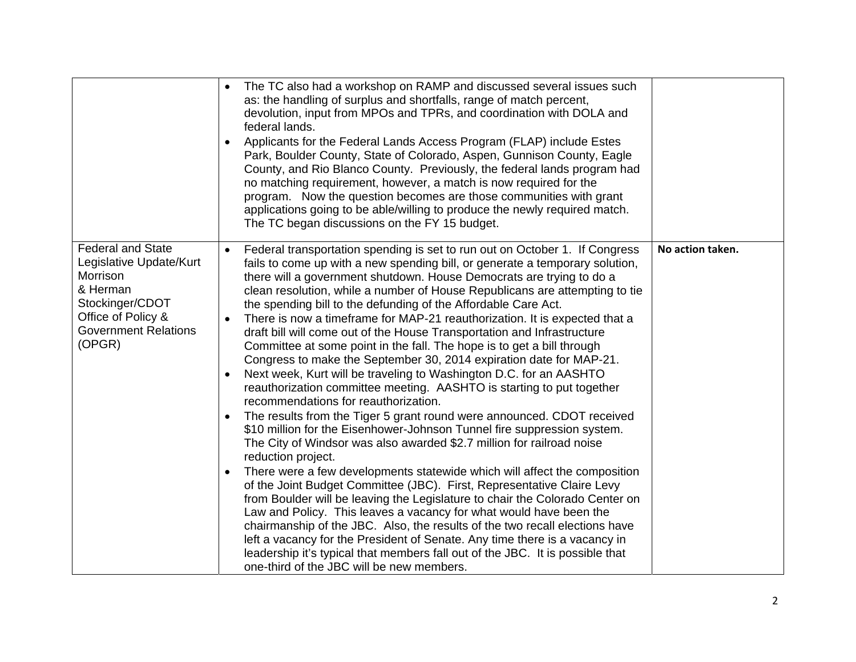|                                                                                                                                                               | The TC also had a workshop on RAMP and discussed several issues such<br>as: the handling of surplus and shortfalls, range of match percent,<br>devolution, input from MPOs and TPRs, and coordination with DOLA and<br>federal lands.<br>Applicants for the Federal Lands Access Program (FLAP) include Estes<br>Park, Boulder County, State of Colorado, Aspen, Gunnison County, Eagle<br>County, and Rio Blanco County. Previously, the federal lands program had<br>no matching requirement, however, a match is now required for the<br>program. Now the question becomes are those communities with grant<br>applications going to be able/willing to produce the newly required match.<br>The TC began discussions on the FY 15 budget.                                                                                                                                                                                                                                                                                                                                                                                                                                                                                                                                                                                                                                                                                                                                                                                                                                                                                                                                                                                                                                            |                  |
|---------------------------------------------------------------------------------------------------------------------------------------------------------------|------------------------------------------------------------------------------------------------------------------------------------------------------------------------------------------------------------------------------------------------------------------------------------------------------------------------------------------------------------------------------------------------------------------------------------------------------------------------------------------------------------------------------------------------------------------------------------------------------------------------------------------------------------------------------------------------------------------------------------------------------------------------------------------------------------------------------------------------------------------------------------------------------------------------------------------------------------------------------------------------------------------------------------------------------------------------------------------------------------------------------------------------------------------------------------------------------------------------------------------------------------------------------------------------------------------------------------------------------------------------------------------------------------------------------------------------------------------------------------------------------------------------------------------------------------------------------------------------------------------------------------------------------------------------------------------------------------------------------------------------------------------------------------------|------------------|
| <b>Federal and State</b><br>Legislative Update/Kurt<br>Morrison<br>& Herman<br>Stockinger/CDOT<br>Office of Policy &<br><b>Government Relations</b><br>(OPGR) | Federal transportation spending is set to run out on October 1. If Congress<br>$\bullet$<br>fails to come up with a new spending bill, or generate a temporary solution,<br>there will a government shutdown. House Democrats are trying to do a<br>clean resolution, while a number of House Republicans are attempting to tie<br>the spending bill to the defunding of the Affordable Care Act.<br>There is now a timeframe for MAP-21 reauthorization. It is expected that a<br>$\bullet$<br>draft bill will come out of the House Transportation and Infrastructure<br>Committee at some point in the fall. The hope is to get a bill through<br>Congress to make the September 30, 2014 expiration date for MAP-21.<br>Next week, Kurt will be traveling to Washington D.C. for an AASHTO<br>reauthorization committee meeting. AASHTO is starting to put together<br>recommendations for reauthorization.<br>The results from the Tiger 5 grant round were announced. CDOT received<br>\$10 million for the Eisenhower-Johnson Tunnel fire suppression system.<br>The City of Windsor was also awarded \$2.7 million for railroad noise<br>reduction project.<br>There were a few developments statewide which will affect the composition<br>$\bullet$<br>of the Joint Budget Committee (JBC). First, Representative Claire Levy<br>from Boulder will be leaving the Legislature to chair the Colorado Center on<br>Law and Policy. This leaves a vacancy for what would have been the<br>chairmanship of the JBC. Also, the results of the two recall elections have<br>left a vacancy for the President of Senate. Any time there is a vacancy in<br>leadership it's typical that members fall out of the JBC. It is possible that<br>one-third of the JBC will be new members. | No action taken. |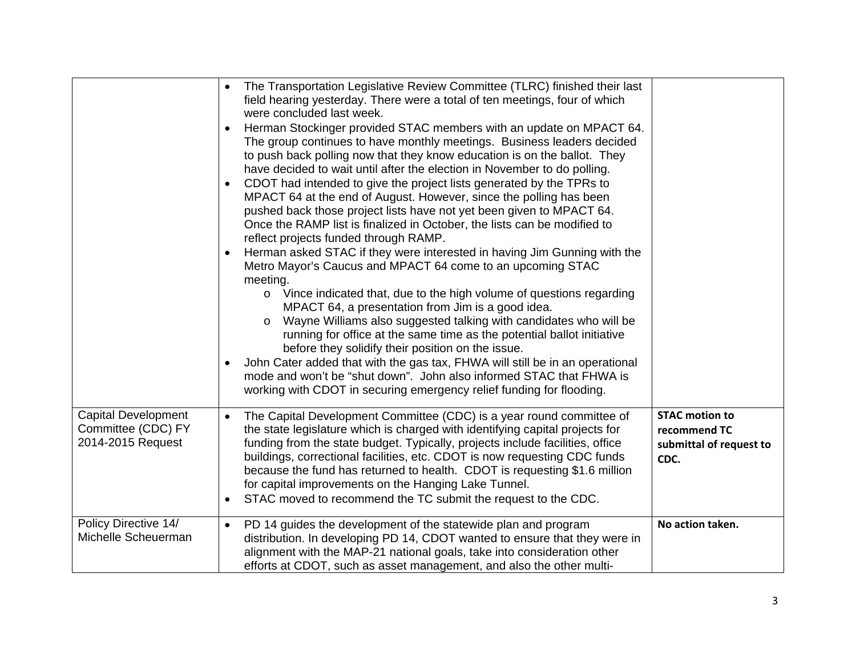|                                                                       | The Transportation Legislative Review Committee (TLRC) finished their last<br>$\bullet$<br>field hearing yesterday. There were a total of ten meetings, four of which<br>were concluded last week.<br>Herman Stockinger provided STAC members with an update on MPACT 64.<br>The group continues to have monthly meetings. Business leaders decided<br>to push back polling now that they know education is on the ballot. They<br>have decided to wait until after the election in November to do polling.<br>CDOT had intended to give the project lists generated by the TPRs to<br>MPACT 64 at the end of August. However, since the polling has been<br>pushed back those project lists have not yet been given to MPACT 64.<br>Once the RAMP list is finalized in October, the lists can be modified to<br>reflect projects funded through RAMP.<br>Herman asked STAC if they were interested in having Jim Gunning with the<br>$\bullet$<br>Metro Mayor's Caucus and MPACT 64 come to an upcoming STAC<br>meeting.<br>o Vince indicated that, due to the high volume of questions regarding<br>MPACT 64, a presentation from Jim is a good idea.<br>Wayne Williams also suggested talking with candidates who will be<br>running for office at the same time as the potential ballot initiative<br>before they solidify their position on the issue.<br>John Cater added that with the gas tax, FHWA will still be in an operational<br>mode and won't be "shut down". John also informed STAC that FHWA is<br>working with CDOT in securing emergency relief funding for flooding. |                                                                          |
|-----------------------------------------------------------------------|--------------------------------------------------------------------------------------------------------------------------------------------------------------------------------------------------------------------------------------------------------------------------------------------------------------------------------------------------------------------------------------------------------------------------------------------------------------------------------------------------------------------------------------------------------------------------------------------------------------------------------------------------------------------------------------------------------------------------------------------------------------------------------------------------------------------------------------------------------------------------------------------------------------------------------------------------------------------------------------------------------------------------------------------------------------------------------------------------------------------------------------------------------------------------------------------------------------------------------------------------------------------------------------------------------------------------------------------------------------------------------------------------------------------------------------------------------------------------------------------------------------------------------------------------------------------------------------------|--------------------------------------------------------------------------|
| <b>Capital Development</b><br>Committee (CDC) FY<br>2014-2015 Request | The Capital Development Committee (CDC) is a year round committee of<br>$\bullet$<br>the state legislature which is charged with identifying capital projects for<br>funding from the state budget. Typically, projects include facilities, office<br>buildings, correctional facilities, etc. CDOT is now requesting CDC funds<br>because the fund has returned to health. CDOT is requesting \$1.6 million<br>for capital improvements on the Hanging Lake Tunnel.<br>STAC moved to recommend the TC submit the request to the CDC.                                                                                                                                                                                                                                                                                                                                                                                                                                                                                                                                                                                                                                                                                                                                                                                                                                                                                                                                                                                                                                                      | <b>STAC motion to</b><br>recommend TC<br>submittal of request to<br>CDC. |
| Policy Directive 14/<br>Michelle Scheuerman                           | PD 14 guides the development of the statewide plan and program<br>$\bullet$<br>distribution. In developing PD 14, CDOT wanted to ensure that they were in<br>alignment with the MAP-21 national goals, take into consideration other<br>efforts at CDOT, such as asset management, and also the other multi-                                                                                                                                                                                                                                                                                                                                                                                                                                                                                                                                                                                                                                                                                                                                                                                                                                                                                                                                                                                                                                                                                                                                                                                                                                                                               | No action taken.                                                         |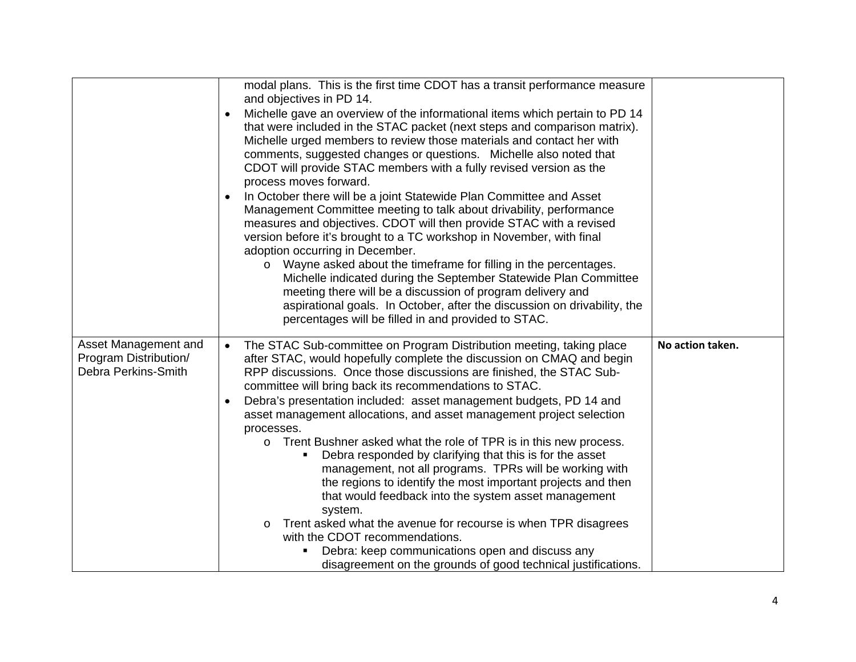|                                                                      | modal plans. This is the first time CDOT has a transit performance measure<br>and objectives in PD 14.<br>Michelle gave an overview of the informational items which pertain to PD 14<br>that were included in the STAC packet (next steps and comparison matrix).<br>Michelle urged members to review those materials and contact her with<br>comments, suggested changes or questions. Michelle also noted that<br>CDOT will provide STAC members with a fully revised version as the<br>process moves forward.<br>In October there will be a joint Statewide Plan Committee and Asset<br>$\bullet$<br>Management Committee meeting to talk about drivability, performance<br>measures and objectives. CDOT will then provide STAC with a revised<br>version before it's brought to a TC workshop in November, with final<br>adoption occurring in December.<br>Wayne asked about the timeframe for filling in the percentages.<br>Michelle indicated during the September Statewide Plan Committee<br>meeting there will be a discussion of program delivery and<br>aspirational goals. In October, after the discussion on drivability, the<br>percentages will be filled in and provided to STAC. |                  |
|----------------------------------------------------------------------|--------------------------------------------------------------------------------------------------------------------------------------------------------------------------------------------------------------------------------------------------------------------------------------------------------------------------------------------------------------------------------------------------------------------------------------------------------------------------------------------------------------------------------------------------------------------------------------------------------------------------------------------------------------------------------------------------------------------------------------------------------------------------------------------------------------------------------------------------------------------------------------------------------------------------------------------------------------------------------------------------------------------------------------------------------------------------------------------------------------------------------------------------------------------------------------------------------|------------------|
| Asset Management and<br>Program Distribution/<br>Debra Perkins-Smith | The STAC Sub-committee on Program Distribution meeting, taking place<br>$\bullet$<br>after STAC, would hopefully complete the discussion on CMAQ and begin<br>RPP discussions. Once those discussions are finished, the STAC Sub-<br>committee will bring back its recommendations to STAC.<br>Debra's presentation included: asset management budgets, PD 14 and<br>$\bullet$<br>asset management allocations, and asset management project selection<br>processes.<br>o Trent Bushner asked what the role of TPR is in this new process.<br>Debra responded by clarifying that this is for the asset<br>٠<br>management, not all programs. TPRs will be working with<br>the regions to identify the most important projects and then<br>that would feedback into the system asset management<br>system.<br>Trent asked what the avenue for recourse is when TPR disagrees<br>$\circ$<br>with the CDOT recommendations.<br>Debra: keep communications open and discuss any<br>٠<br>disagreement on the grounds of good technical justifications.                                                                                                                                                      | No action taken. |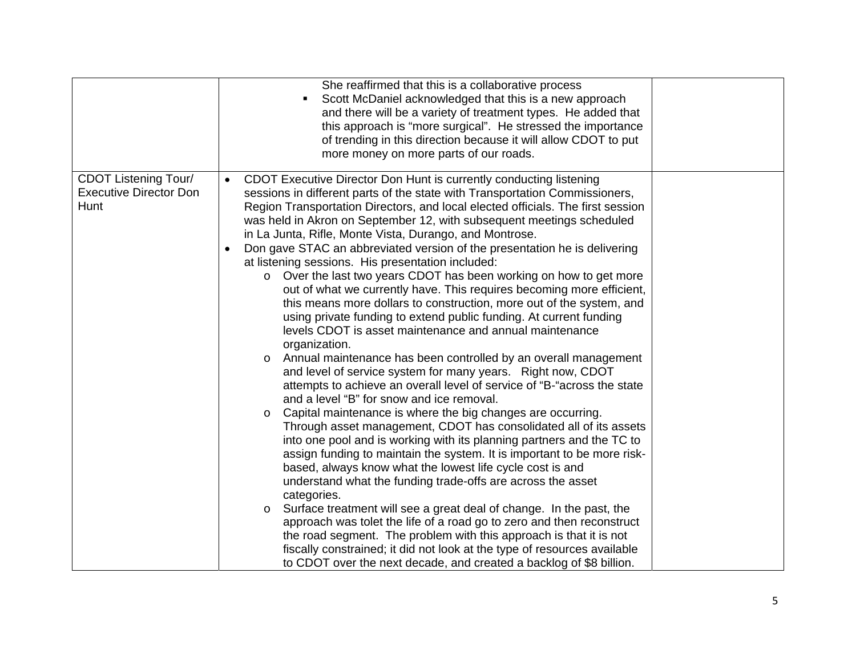|                                                                      | She reaffirmed that this is a collaborative process<br>Scott McDaniel acknowledged that this is a new approach<br>$\blacksquare$<br>and there will be a variety of treatment types. He added that<br>this approach is "more surgical". He stressed the importance<br>of trending in this direction because it will allow CDOT to put<br>more money on more parts of our roads.                                                                                                                                                                                                                                                                                                                                                                                                                                                                                                                                                                                                                                                                                                                                                                                                                                                                                                                                                                                                                                                                                                                                                                                                                                                                                                                                                                                                                                                                                                                                                                                                                                     |  |
|----------------------------------------------------------------------|--------------------------------------------------------------------------------------------------------------------------------------------------------------------------------------------------------------------------------------------------------------------------------------------------------------------------------------------------------------------------------------------------------------------------------------------------------------------------------------------------------------------------------------------------------------------------------------------------------------------------------------------------------------------------------------------------------------------------------------------------------------------------------------------------------------------------------------------------------------------------------------------------------------------------------------------------------------------------------------------------------------------------------------------------------------------------------------------------------------------------------------------------------------------------------------------------------------------------------------------------------------------------------------------------------------------------------------------------------------------------------------------------------------------------------------------------------------------------------------------------------------------------------------------------------------------------------------------------------------------------------------------------------------------------------------------------------------------------------------------------------------------------------------------------------------------------------------------------------------------------------------------------------------------------------------------------------------------------------------------------------------------|--|
| <b>CDOT Listening Tour/</b><br><b>Executive Director Don</b><br>Hunt | CDOT Executive Director Don Hunt is currently conducting listening<br>$\bullet$<br>sessions in different parts of the state with Transportation Commissioners,<br>Region Transportation Directors, and local elected officials. The first session<br>was held in Akron on September 12, with subsequent meetings scheduled<br>in La Junta, Rifle, Monte Vista, Durango, and Montrose.<br>Don gave STAC an abbreviated version of the presentation he is delivering<br>$\bullet$<br>at listening sessions. His presentation included:<br>Over the last two years CDOT has been working on how to get more<br>$\circ$<br>out of what we currently have. This requires becoming more efficient,<br>this means more dollars to construction, more out of the system, and<br>using private funding to extend public funding. At current funding<br>levels CDOT is asset maintenance and annual maintenance<br>organization.<br>Annual maintenance has been controlled by an overall management<br>$\circ$<br>and level of service system for many years. Right now, CDOT<br>attempts to achieve an overall level of service of "B-"across the state<br>and a level "B" for snow and ice removal.<br>Capital maintenance is where the big changes are occurring.<br>Through asset management, CDOT has consolidated all of its assets<br>into one pool and is working with its planning partners and the TC to<br>assign funding to maintain the system. It is important to be more risk-<br>based, always know what the lowest life cycle cost is and<br>understand what the funding trade-offs are across the asset<br>categories.<br>Surface treatment will see a great deal of change. In the past, the<br>$\circ$<br>approach was tolet the life of a road go to zero and then reconstruct<br>the road segment. The problem with this approach is that it is not<br>fiscally constrained; it did not look at the type of resources available<br>to CDOT over the next decade, and created a backlog of \$8 billion. |  |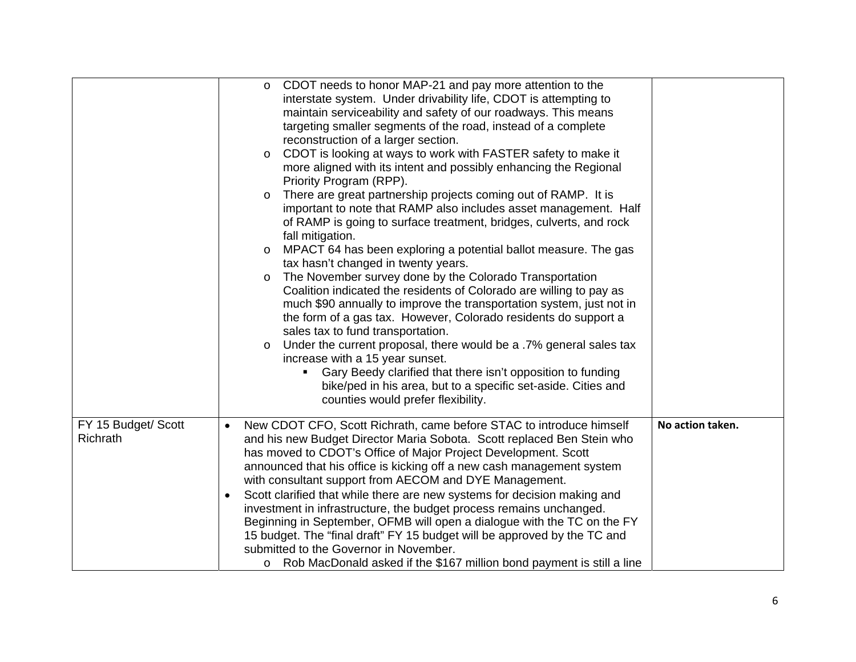|                                 | CDOT needs to honor MAP-21 and pay more attention to the<br>$\circ$<br>interstate system. Under drivability life, CDOT is attempting to<br>maintain serviceability and safety of our roadways. This means<br>targeting smaller segments of the road, instead of a complete<br>reconstruction of a larger section.<br>CDOT is looking at ways to work with FASTER safety to make it<br>$\circ$<br>more aligned with its intent and possibly enhancing the Regional<br>Priority Program (RPP).<br>There are great partnership projects coming out of RAMP. It is<br>$\circ$<br>important to note that RAMP also includes asset management. Half<br>of RAMP is going to surface treatment, bridges, culverts, and rock<br>fall mitigation.<br>MPACT 64 has been exploring a potential ballot measure. The gas<br>$\circ$<br>tax hasn't changed in twenty years.<br>The November survey done by the Colorado Transportation<br>$\circ$<br>Coalition indicated the residents of Colorado are willing to pay as |  |
|---------------------------------|-----------------------------------------------------------------------------------------------------------------------------------------------------------------------------------------------------------------------------------------------------------------------------------------------------------------------------------------------------------------------------------------------------------------------------------------------------------------------------------------------------------------------------------------------------------------------------------------------------------------------------------------------------------------------------------------------------------------------------------------------------------------------------------------------------------------------------------------------------------------------------------------------------------------------------------------------------------------------------------------------------------|--|
|                                 | much \$90 annually to improve the transportation system, just not in<br>the form of a gas tax. However, Colorado residents do support a<br>sales tax to fund transportation.<br>Under the current proposal, there would be a .7% general sales tax<br>$\circ$<br>increase with a 15 year sunset.<br>Gary Beedy clarified that there isn't opposition to funding<br>bike/ped in his area, but to a specific set-aside. Cities and<br>counties would prefer flexibility.                                                                                                                                                                                                                                                                                                                                                                                                                                                                                                                                    |  |
| FY 15 Budget/ Scott<br>Richrath | New CDOT CFO, Scott Richrath, came before STAC to introduce himself<br>No action taken.<br>$\bullet$<br>and his new Budget Director Maria Sobota. Scott replaced Ben Stein who<br>has moved to CDOT's Office of Major Project Development. Scott<br>announced that his office is kicking off a new cash management system<br>with consultant support from AECOM and DYE Management.<br>Scott clarified that while there are new systems for decision making and<br>$\bullet$<br>investment in infrastructure, the budget process remains unchanged.<br>Beginning in September, OFMB will open a dialogue with the TC on the FY<br>15 budget. The "final draft" FY 15 budget will be approved by the TC and<br>submitted to the Governor in November.<br>Rob MacDonald asked if the \$167 million bond payment is still a line<br>$\circ$                                                                                                                                                                  |  |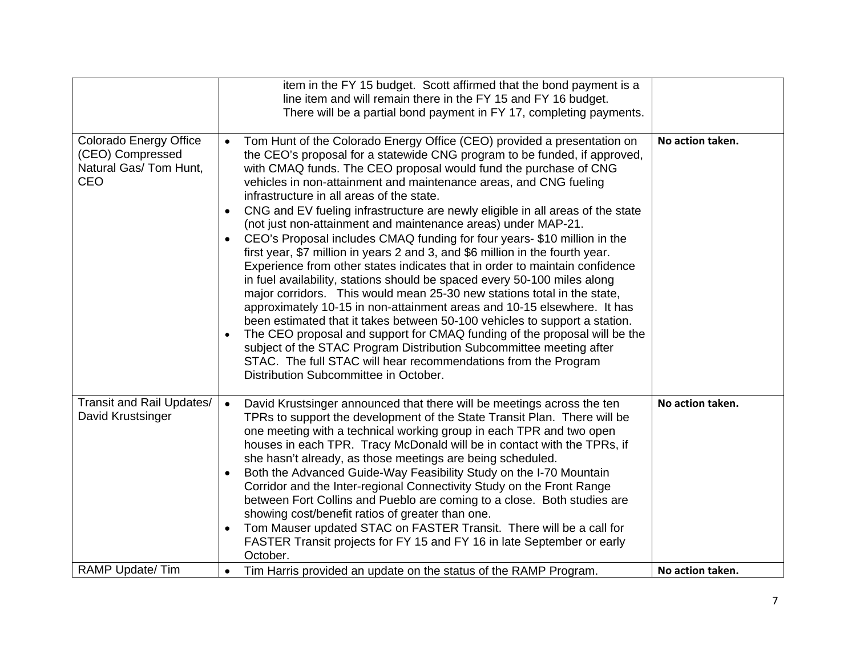|                                                                                           | item in the FY 15 budget. Scott affirmed that the bond payment is a<br>line item and will remain there in the FY 15 and FY 16 budget.<br>There will be a partial bond payment in FY 17, completing payments.                                                                                                                                                                                                                                                                                                                                                                                                                                                                                                                                                                                                                                                                                                                                                                                                                                                                                                                                                                                                                                                                                                                                                   |                                      |
|-------------------------------------------------------------------------------------------|----------------------------------------------------------------------------------------------------------------------------------------------------------------------------------------------------------------------------------------------------------------------------------------------------------------------------------------------------------------------------------------------------------------------------------------------------------------------------------------------------------------------------------------------------------------------------------------------------------------------------------------------------------------------------------------------------------------------------------------------------------------------------------------------------------------------------------------------------------------------------------------------------------------------------------------------------------------------------------------------------------------------------------------------------------------------------------------------------------------------------------------------------------------------------------------------------------------------------------------------------------------------------------------------------------------------------------------------------------------|--------------------------------------|
| <b>Colorado Energy Office</b><br>(CEO) Compressed<br>Natural Gas/ Tom Hunt,<br><b>CEO</b> | Tom Hunt of the Colorado Energy Office (CEO) provided a presentation on<br>the CEO's proposal for a statewide CNG program to be funded, if approved,<br>with CMAQ funds. The CEO proposal would fund the purchase of CNG<br>vehicles in non-attainment and maintenance areas, and CNG fueling<br>infrastructure in all areas of the state.<br>CNG and EV fueling infrastructure are newly eligible in all areas of the state<br>$\bullet$<br>(not just non-attainment and maintenance areas) under MAP-21.<br>CEO's Proposal includes CMAQ funding for four years-\$10 million in the<br>$\bullet$<br>first year, \$7 million in years 2 and 3, and \$6 million in the fourth year.<br>Experience from other states indicates that in order to maintain confidence<br>in fuel availability, stations should be spaced every 50-100 miles along<br>major corridors. This would mean 25-30 new stations total in the state,<br>approximately 10-15 in non-attainment areas and 10-15 elsewhere. It has<br>been estimated that it takes between 50-100 vehicles to support a station.<br>The CEO proposal and support for CMAQ funding of the proposal will be the<br>$\bullet$<br>subject of the STAC Program Distribution Subcommittee meeting after<br>STAC. The full STAC will hear recommendations from the Program<br>Distribution Subcommittee in October. | No action taken.                     |
| Transit and Rail Updates/<br>David Krustsinger<br>RAMP Update/Tim                         | David Krustsinger announced that there will be meetings across the ten<br>$\bullet$<br>TPRs to support the development of the State Transit Plan. There will be<br>one meeting with a technical working group in each TPR and two open<br>houses in each TPR. Tracy McDonald will be in contact with the TPRs, if<br>she hasn't already, as those meetings are being scheduled.<br>Both the Advanced Guide-Way Feasibility Study on the I-70 Mountain<br>$\bullet$<br>Corridor and the Inter-regional Connectivity Study on the Front Range<br>between Fort Collins and Pueblo are coming to a close. Both studies are<br>showing cost/benefit ratios of greater than one.<br>Tom Mauser updated STAC on FASTER Transit. There will be a call for<br>$\bullet$<br>FASTER Transit projects for FY 15 and FY 16 in late September or early<br>October.                                                                                                                                                                                                                                                                                                                                                                                                                                                                                                           | No action taken.<br>No action taken. |
|                                                                                           | Tim Harris provided an update on the status of the RAMP Program.<br>$\bullet$                                                                                                                                                                                                                                                                                                                                                                                                                                                                                                                                                                                                                                                                                                                                                                                                                                                                                                                                                                                                                                                                                                                                                                                                                                                                                  |                                      |